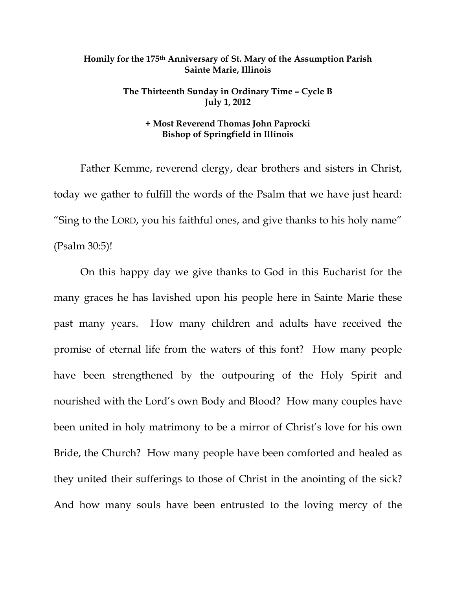## **Homily for the 175th Anniversary of St. Mary of the Assumption Parish Sainte Marie, Illinois**

## **The Thirteenth Sunday in Ordinary Time – Cycle B July 1, 2012**

## **+ Most Reverend Thomas John Paprocki Bishop of Springfield in Illinois**

 Father Kemme, reverend clergy, dear brothers and sisters in Christ, today we gather to fulfill the words of the Psalm that we have just heard: "Sing to the LORD, you his faithful ones, and give thanks to his holy name" (Psalm 30:5)!

 On this happy day we give thanks to God in this Eucharist for the many graces he has lavished upon his people here in Sainte Marie these past many years. How many children and adults have received the promise of eternal life from the waters of this font? How many people have been strengthened by the outpouring of the Holy Spirit and nourished with the Lord's own Body and Blood? How many couples have been united in holy matrimony to be a mirror of Christ's love for his own Bride, the Church? How many people have been comforted and healed as they united their sufferings to those of Christ in the anointing of the sick? And how many souls have been entrusted to the loving mercy of the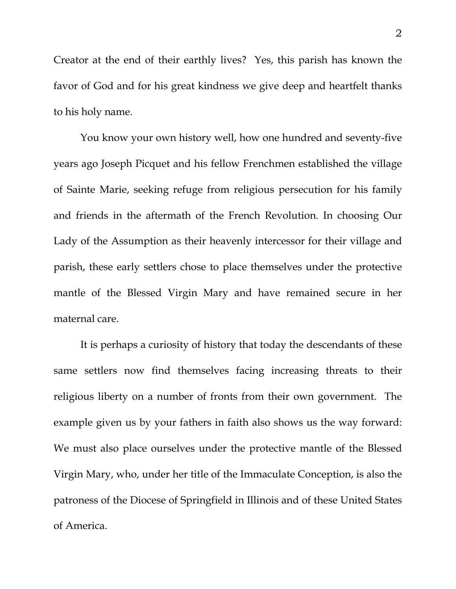Creator at the end of their earthly lives? Yes, this parish has known the favor of God and for his great kindness we give deep and heartfelt thanks to his holy name.

 You know your own history well, how one hundred and seventy-five years ago Joseph Picquet and his fellow Frenchmen established the village of Sainte Marie, seeking refuge from religious persecution for his family and friends in the aftermath of the French Revolution. In choosing Our Lady of the Assumption as their heavenly intercessor for their village and parish, these early settlers chose to place themselves under the protective mantle of the Blessed Virgin Mary and have remained secure in her maternal care.

It is perhaps a curiosity of history that today the descendants of these same settlers now find themselves facing increasing threats to their religious liberty on a number of fronts from their own government. The example given us by your fathers in faith also shows us the way forward: We must also place ourselves under the protective mantle of the Blessed Virgin Mary, who, under her title of the Immaculate Conception, is also the patroness of the Diocese of Springfield in Illinois and of these United States of America.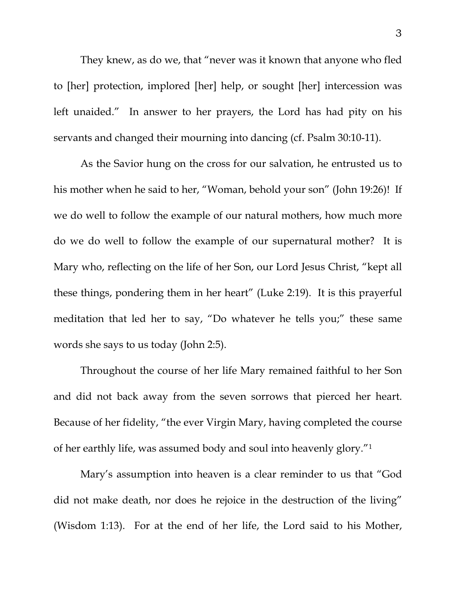They knew, as do we, that "never was it known that anyone who fled to [her] protection, implored [her] help, or sought [her] intercession was left unaided." In answer to her prayers, the Lord has had pity on his servants and changed their mourning into dancing (cf. Psalm 30:10-11).

 As the Savior hung on the cross for our salvation, he entrusted us to his mother when he said to her, "Woman, behold your son" (John 19:26)! If we do well to follow the example of our natural mothers, how much more do we do well to follow the example of our supernatural mother? It is Mary who, reflecting on the life of her Son, our Lord Jesus Christ, "kept all these things, pondering them in her heart" (Luke 2:19). It is this prayerful meditation that led her to say, "Do whatever he tells you;" these same words she says to us today (John 2:5).

 Throughout the course of her life Mary remained faithful to her Son and did not back away from the seven sorrows that pierced her heart. Because of her fidelity, "the ever Virgin Mary, having completed the course of her earthly life, was assumed body and soul into heavenly glory."1

 Mary's assumption into heaven is a clear reminder to us that "God did not make death, nor does he rejoice in the destruction of the living" (Wisdom 1:13). For at the end of her life, the Lord said to his Mother,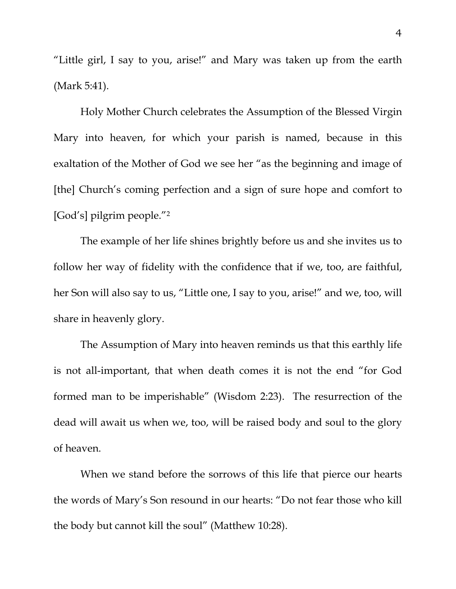"Little girl, I say to you, arise!" and Mary was taken up from the earth (Mark 5:41).

 Holy Mother Church celebrates the Assumption of the Blessed Virgin Mary into heaven, for which your parish is named, because in this exaltation of the Mother of God we see her "as the beginning and image of [the] Church's coming perfection and a sign of sure hope and comfort to [God's] pilgrim people."2

 The example of her life shines brightly before us and she invites us to follow her way of fidelity with the confidence that if we, too, are faithful, her Son will also say to us, "Little one, I say to you, arise!" and we, too, will share in heavenly glory.

 The Assumption of Mary into heaven reminds us that this earthly life is not all-important, that when death comes it is not the end "for God formed man to be imperishable" (Wisdom 2:23). The resurrection of the dead will await us when we, too, will be raised body and soul to the glory of heaven.

 When we stand before the sorrows of this life that pierce our hearts the words of Mary's Son resound in our hearts: "Do not fear those who kill the body but cannot kill the soul" (Matthew 10:28).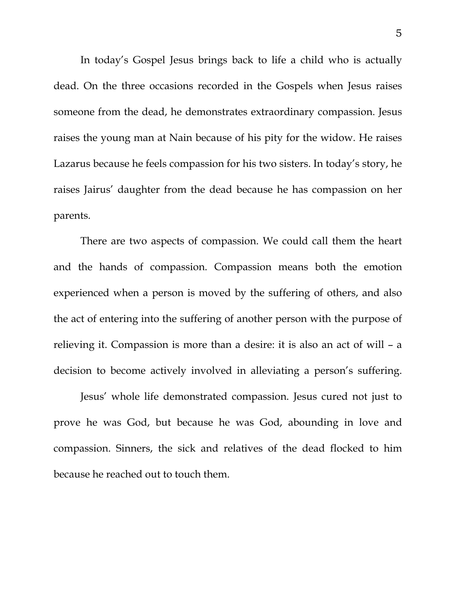In today's Gospel Jesus brings back to life a child who is actually dead. On the three occasions recorded in the Gospels when Jesus raises someone from the dead, he demonstrates extraordinary compassion. Jesus raises the young man at Nain because of his pity for the widow. He raises Lazarus because he feels compassion for his two sisters. In today's story, he raises Jairus' daughter from the dead because he has compassion on her parents.

 There are two aspects of compassion. We could call them the heart and the hands of compassion. Compassion means both the emotion experienced when a person is moved by the suffering of others, and also the act of entering into the suffering of another person with the purpose of relieving it. Compassion is more than a desire: it is also an act of will – a decision to become actively involved in alleviating a person's suffering.

 Jesus' whole life demonstrated compassion. Jesus cured not just to prove he was God, but because he was God, abounding in love and compassion. Sinners, the sick and relatives of the dead flocked to him because he reached out to touch them.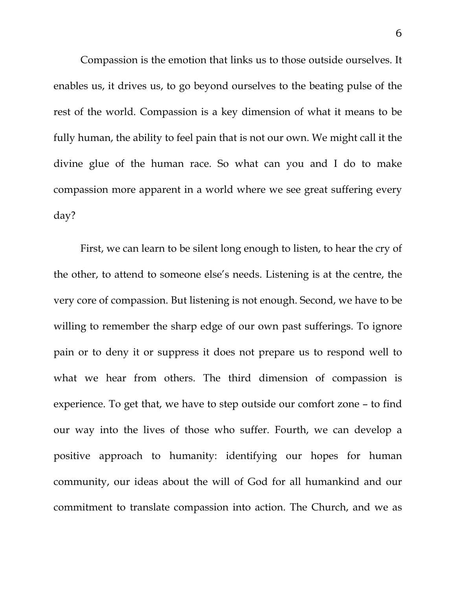Compassion is the emotion that links us to those outside ourselves. It enables us, it drives us, to go beyond ourselves to the beating pulse of the rest of the world. Compassion is a key dimension of what it means to be fully human, the ability to feel pain that is not our own. We might call it the divine glue of the human race. So what can you and I do to make compassion more apparent in a world where we see great suffering every day?

 First, we can learn to be silent long enough to listen, to hear the cry of the other, to attend to someone else's needs. Listening is at the centre, the very core of compassion. But listening is not enough. Second, we have to be willing to remember the sharp edge of our own past sufferings. To ignore pain or to deny it or suppress it does not prepare us to respond well to what we hear from others. The third dimension of compassion is experience. To get that, we have to step outside our comfort zone – to find our way into the lives of those who suffer. Fourth, we can develop a positive approach to humanity: identifying our hopes for human community, our ideas about the will of God for all humankind and our commitment to translate compassion into action. The Church, and we as